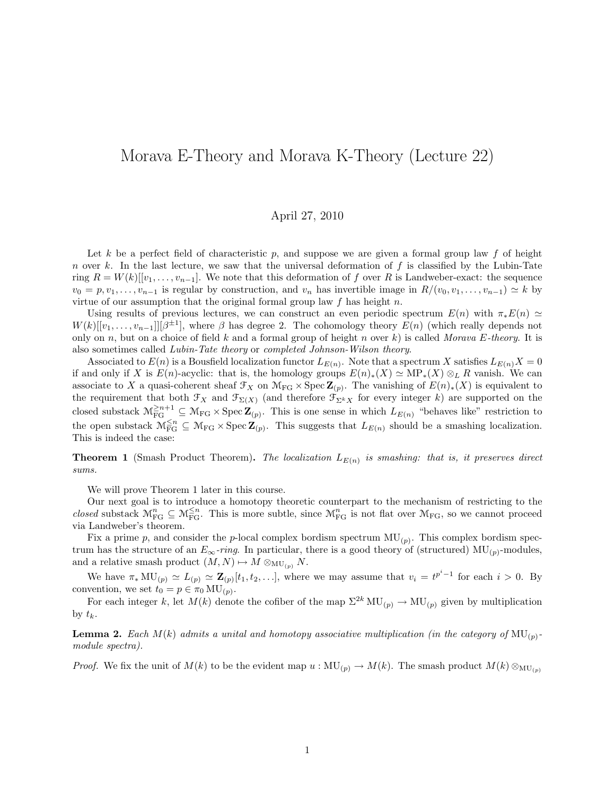## Morava E-Theory and Morava K-Theory (Lecture 22)

## April 27, 2010

Let k be a perfect field of characteristic p, and suppose we are given a formal group law f of height n over k. In the last lecture, we saw that the universal deformation of  $f$  is classified by the Lubin-Tate ring  $R = W(k)[[v_1, \ldots, v_{n-1}].$  We note that this deformation of f over R is Landweber-exact: the sequence  $v_0 = p, v_1, \ldots, v_{n-1}$  is regular by construction, and  $v_n$  has invertible image in  $R/(v_0, v_1, \ldots, v_{n-1}) \simeq k$  by virtue of our assumption that the original formal group law  $f$  has height n.

Using results of previous lectures, we can construct an even periodic spectrum  $E(n)$  with  $\pi_* E(n) \simeq$  $W(k)[[v_1,\ldots,v_{n-1}]][\beta^{\pm 1}]$ , where  $\beta$  has degree 2. The cohomology theory  $E(n)$  (which really depends not only on n, but on a choice of field k and a formal group of height n over k) is called Morava E-theory. It is also sometimes called Lubin-Tate theory or completed Johnson-Wilson theory.

Associated to  $E(n)$  is a Bousfield localization functor  $L_{E(n)}$ . Note that a spectrum X satisfies  $L_{E(n)}X = 0$ if and only if X is  $E(n)$ -acyclic: that is, the homology groups  $E(n)_*(X) \simeq \text{MP}_*(X) \otimes_L R$  vanish. We can associate to X a quasi-coherent sheaf  $\mathcal{F}_X$  on  $\mathcal{M}_{FG} \times \text{Spec } \mathbb{Z}_{(p)}$ . The vanishing of  $E(n)_*(X)$  is equivalent to the requirement that both  $\mathcal{F}_X$  and  $\mathcal{F}_{\Sigma(X)}$  (and therefore  $\mathcal{F}_{\Sigma^k X}$  for every integer k) are supported on the closed substack  $\mathcal{M}_{\text{FG}}^{\geq n+1} \subseteq \mathcal{M}_{\text{FG}} \times \text{Spec } \mathbf{Z}_{(p)}$ . This is one sense in which  $L_{E(n)}$  "behaves like" restriction to the open substack  $\mathcal{M}_{FG}^{\leq n} \subseteq \mathcal{M}_{FG} \times \operatorname{Spec} \mathbf{Z}_{(p)}$ . This suggests that  $L_{E(n)}$  should be a smashing localization. This is indeed the case:

**Theorem 1** (Smash Product Theorem). The localization  $L_{E(n)}$  is smashing: that is, it preserves direct sums.

We will prove Theorem 1 later in this course.

Our next goal is to introduce a homotopy theoretic counterpart to the mechanism of restricting to the closed substack  $\mathcal{M}_{FG}^n \subseteq \mathcal{M}_{FG}^{\leq n}$ . This is more subtle, since  $\mathcal{M}_{FG}^n$  is not flat over  $\mathcal{M}_{FG}$ , so we cannot proceed via Landweber's theorem.

Fix a prime p, and consider the p-local complex bordism spectrum  $MU_{(p)}$ . This complex bordism spectrum has the structure of an  $E_{\infty}$ -ring. In particular, there is a good theory of (structured) MU<sub>(p)</sub>-modules, and a relative smash product  $(M, N) \mapsto M \otimes_{\mathrm{MU}_{(p)}} N$ .

We have  $\pi_*\text{MU}_{(p)} \simeq L_{(p)} \simeq \mathbf{Z}_{(p)}[t_1, t_2, \ldots],$  where we may assume that  $v_i = t^{p^i-1}$  for each  $i > 0$ . By convention, we set  $t_0 = p \in \pi_0 \mathrm{MU}_{(p)}$ .

For each integer k, let  $M(k)$  denote the cofiber of the map  $\Sigma^{2k} MU_{(p)} \to MU_{(p)}$  given by multiplication by  $t_k$ .

**Lemma 2.** Each  $M(k)$  admits a unital and homotopy associative multiplication (in the category of  $MU_{(p)}$ module spectra).

*Proof.* We fix the unit of  $M(k)$  to be the evident map  $u : MU_{(p)} \to M(k)$ . The smash product  $M(k) \otimes_{MU_{(p)}}$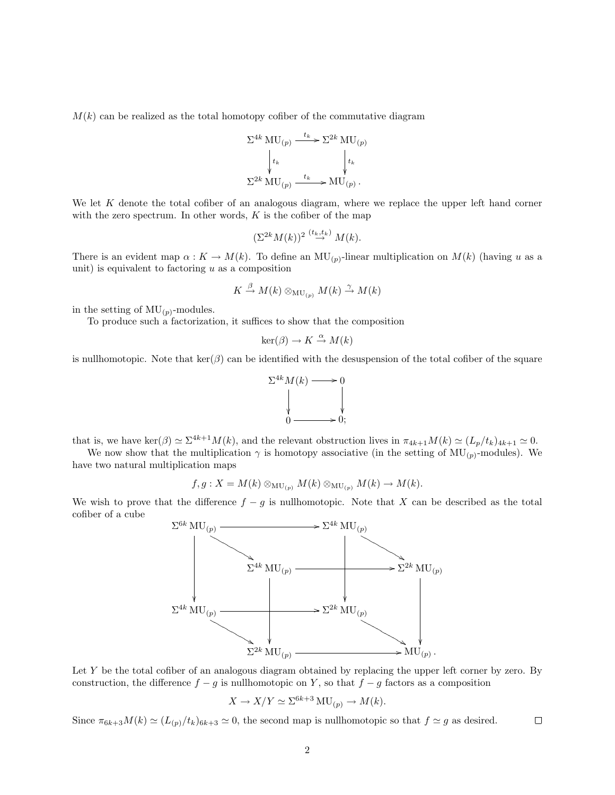$M(k)$  can be realized as the total homotopy cofiber of the commutative diagram

$$
\Sigma^{4k} \text{ MU}_{(p)} \xrightarrow{t_k} \Sigma^{2k} \text{ MU}_{(p)}
$$
\n
$$
\downarrow_{t_k} \qquad \qquad \downarrow_{t_k}
$$
\n
$$
\Sigma^{2k} \text{ MU}_{(p)} \xrightarrow{t_k} \text{MU}_{(p)}.
$$

We let  $K$  denote the total cofiber of an analogous diagram, where we replace the upper left hand corner with the zero spectrum. In other words,  $K$  is the cofiber of the map

$$
(\Sigma^{2k}M(k))^{2} \stackrel{(t_k,t_k)}{\rightarrow} M(k).
$$

There is an evident map  $\alpha: K \to M(k)$ . To define an  $MU_{(p)}$ -linear multiplication on  $M(k)$  (having u as a unit) is equivalent to factoring  $u$  as a composition

$$
K \stackrel{\beta}{\to} M(k) \otimes_{\mathrm{MU}_{(p)}} M(k) \stackrel{\gamma}{\to} M(k)
$$

in the setting of  $MU_{(p)}$ -modules.

To produce such a factorization, it suffices to show that the composition

$$
\ker(\beta) \to K \xrightarrow{\alpha} M(k)
$$

is nullhomotopic. Note that  $\ker(\beta)$  can be identified with the desuspension of the total cofiber of the square



that is, we have ker $(\beta) \simeq \Sigma^{4k+1} M(k)$ , and the relevant obstruction lives in  $\pi_{4k+1} M(k) \simeq (L_p/t_k)_{4k+1} \simeq 0$ .

We now show that the multiplication  $\gamma$  is homotopy associative (in the setting of  $MU_{(p)}$ -modules). We have two natural multiplication maps

$$
f, g: X = M(k) \otimes_{\mathcal{MU}_{(p)}} M(k) \otimes_{\mathcal{MU}_{(p)}} M(k) \rightarrow M(k).
$$

We wish to prove that the difference  $f - g$  is nullhomotopic. Note that X can be described as the total cofiber of a cube



Let Y be the total cofiber of an analogous diagram obtained by replacing the upper left corner by zero. By construction, the difference  $f - g$  is nullhomotopic on Y, so that  $f - g$  factors as a composition

$$
X \to X/Y \simeq \Sigma^{6k+3} MU_{(p)} \to M(k).
$$

Since  $\pi_{6k+3}M(k) \simeq (L_{(p)}/t_k)_{6k+3} \simeq 0$ , the second map is nullhomotopic so that  $f \simeq g$  as desired.  $\Box$